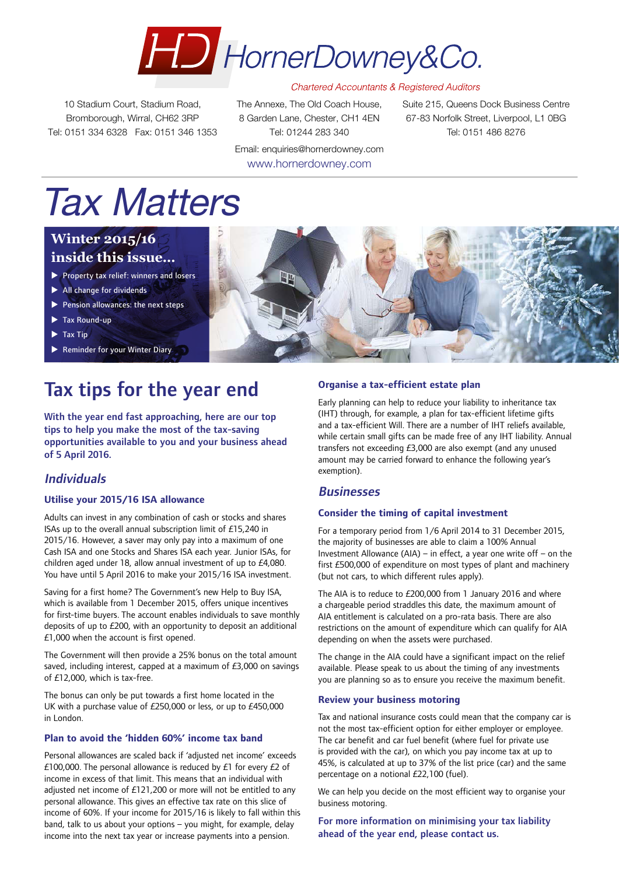

10 Stadium Court, Stadium Road, Bromborough, Wirral, CH62 3RP Tel: 0151 334 6328 Fax: 0151 346 1353 The Annexe, The Old Coach House, 8 Garden Lane, Chester, CH1 4EN Tel: 01244 283 340

Email: enquiries@hornerdowney.com www.hornerdowney.com

Suite 215, Queens Dock Business Centre 67-83 Norfolk Street, Liverpool, L1 0BG Tel: 0151 486 8276

# Tax Matters

## **Winter 2015/16 inside this issue…**

- $\blacktriangleright$  Property tax relief: winners and losers
- $\blacktriangleright$  All change for dividends
- $\blacktriangleright$  Pension allowances: the next steps
- $\blacktriangleright$  Tax Round-up
- $\blacktriangleright$  Tax Tip
- $\blacktriangleright$  Reminder for your Winter Diary

## Tax tips for the year end

With the year end fast approaching, here are our top tips to help you make the most of the tax-saving opportunities available to you and your business ahead of 5 April 2016.

### Individuals

### **Utilise your 2015/16 ISA allowance**

Adults can invest in any combination of cash or stocks and shares ISAs up to the overall annual subscription limit of £15,240 in 2015/16. However, a saver may only pay into a maximum of one Cash ISA and one Stocks and Shares ISA each year. Junior ISAs, for children aged under 18, allow annual investment of up to £4,080. You have until 5 April 2016 to make your 2015/16 ISA investment.

Saving for a first home? The Government's new Help to Buy ISA, which is available from 1 December 2015, offers unique incentives for first-time buyers. The account enables individuals to save monthly deposits of up to £200, with an opportunity to deposit an additional £1,000 when the account is first opened.

The Government will then provide a 25% bonus on the total amount saved, including interest, capped at a maximum of £3,000 on savings of £12,000, which is tax-free.

The bonus can only be put towards a first home located in the UK with a purchase value of £250,000 or less, or up to £450,000 in London.

### **Plan to avoid the 'hidden 60%' income tax band**

Personal allowances are scaled back if 'adjusted net income' exceeds £100,000. The personal allowance is reduced by  $£1$  for every  $£2$  of income in excess of that limit. This means that an individual with adjusted net income of £121,200 or more will not be entitled to any personal allowance. This gives an effective tax rate on this slice of income of 60%. If your income for 2015/16 is likely to fall within this band, talk to us about your options – you might, for example, delay income into the next tax year or increase payments into a pension.



### **Organise a tax-efficient estate plan**

Early planning can help to reduce your liability to inheritance tax (IHT) through, for example, a plan for tax-efficient lifetime gifts and a tax-efficient Will. There are a number of IHT reliefs available, while certain small gifts can be made free of any IHT liability. Annual transfers not exceeding £3,000 are also exempt (and any unused amount may be carried forward to enhance the following year's exemption).

### **Businesses**

### **Consider the timing of capital investment**

For a temporary period from 1/6 April 2014 to 31 December 2015, the majority of businesses are able to claim a 100% Annual Investment Allowance (AIA) – in effect, a year one write off – on the first £500,000 of expenditure on most types of plant and machinery (but not cars, to which different rules apply).

The AIA is to reduce to £200,000 from 1 January 2016 and where a chargeable period straddles this date, the maximum amount of AIA entitlement is calculated on a pro-rata basis. There are also restrictions on the amount of expenditure which can qualify for AIA depending on when the assets were purchased.

The change in the AIA could have a significant impact on the relief available. Please speak to us about the timing of any investments you are planning so as to ensure you receive the maximum benefit.

#### **Review your business motoring**

Tax and national insurance costs could mean that the company car is not the most tax-efficient option for either employer or employee. The car benefit and car fuel benefit (where fuel for private use is provided with the car), on which you pay income tax at up to 45%, is calculated at up to 37% of the list price (car) and the same percentage on a notional £22,100 (fuel).

We can help you decide on the most efficient way to organise your business motoring.

For more information on minimising your tax liability ahead of the year end, please contact us.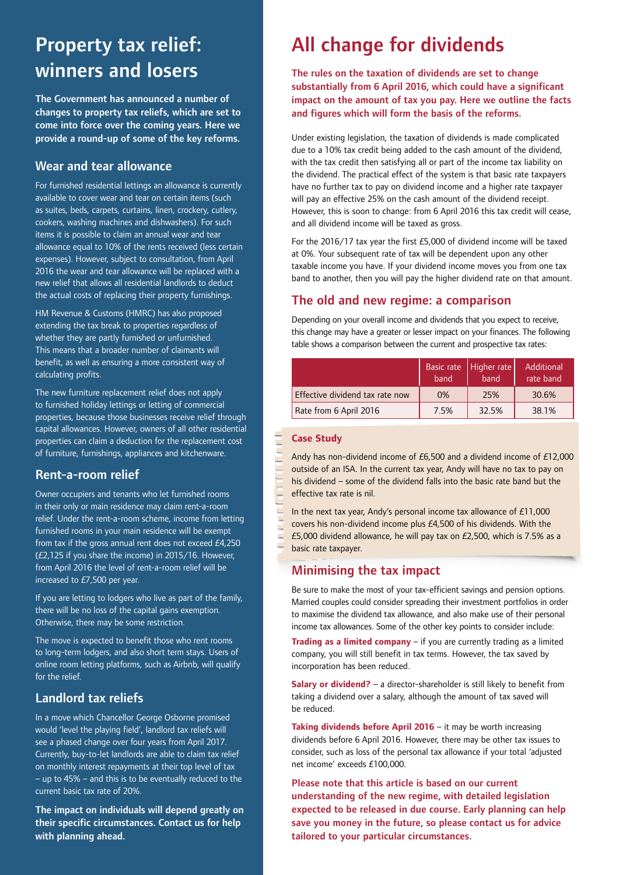## Property tax relief: winners and losers

The Government has announced a number of changes to property tax reliefs, which are set to come into force over the coming years. Here we provide a round-up of some of the key reforms.

### Wear and tear allowance

For furnished residential lettings an allowance is currently available to cover wear and tear on certain items (such as suites, beds, carpets, curtains, linen, crockery, cutlery, cookers, washing machines and dishwashers). For such items it is possible to claim an annual wear and tear allowance equal to 10% of the rents received (less certain expenses). However, subject to consultation, from April 2016 the wear and tear allowance will be replaced with a new relief that allows all residential landlords to deduct the actual costs of replacing their property furnishings.

HM Revenue & Customs (HMRC) has also proposed extending the tax break to properties regardless of whether they are partly furnished or unfurnished. This means that a broader number of claimants will benefit, as well as ensuring a more consistent way of calculating profits.

The new furniture replacement relief does not apply to furnished holiday lettings or letting of commercial properties, because those businesses receive relief through capital allowances. However, owners of all other residential properties can claim a deduction for the replacement cost of furniture, furnishings, appliances and kitchenware.

### Rent-a-room relief

Owner occupiers and tenants who let furnished rooms in their only or main residence may claim rent-a-room relief. Under the rent-a-room scheme, income from letting furnished rooms in your main residence will be exempt from tax if the gross annual rent does not exceed £4,250 (£2,125 if you share the income) in 2015/16. However, from April 2016 the level of rent-a-room relief will be increased to £7,500 per year.

If you are letting to lodgers who live as part of the family, there will be no loss of the capital gains exemption. Otherwise, there may be some restriction.

The move is expected to benefit those who rent rooms to long-term lodgers, and also short term stays. Users of online room letting platforms, such as Airbnb, will qualify for the relief.

## Landlord tax reliefs

In a move which Chancellor George Osborne promised would 'level the playing field', landlord tax reliefs will see a phased change over four years from April 2017. Currently, buy-to-let landlords are able to claim tax relief on monthly interest repayments at their top level of tax – up to 45% – and this is to be eventually reduced to the current basic tax rate of 20%.

The impact on individuals will depend greatly on their specific circumstances. Contact us for help with planning ahead.

## All change for dividends

### The rules on the taxation of dividends are set to change substantially from 6 April 2016, which could have a significant impact on the amount of tax you pay. Here we outline the facts and figures which will form the basis of the reforms.

Under existing legislation, the taxation of dividends is made complicated due to a 10% tax credit being added to the cash amount of the dividend, with the tax credit then satisfying all or part of the income tax liability on the dividend. The practical effect of the system is that basic rate taxpayers have no further tax to pay on dividend income and a higher rate taxpayer will pay an effective 25% on the cash amount of the dividend receipt. However, this is soon to change: from 6 April 2016 this tax credit will cease, and all dividend income will be taxed as gross.

For the 2016/17 tax year the first £5,000 of dividend income will be taxed at 0%. Your subsequent rate of tax will be dependent upon any other taxable income you have. If your dividend income moves you from one tax band to another, then you will pay the higher dividend rate on that amount.

### The old and new regime: a comparison

Depending on your overall income and dividends that you expect to receive, this change may have a greater or lesser impact on your finances. The following table shows a comparison between the current and prospective tax rates:

|                                 | band | Basic rate   Higher rate<br>band | Additional<br>rate band |
|---------------------------------|------|----------------------------------|-------------------------|
| Effective dividend tax rate now | 0%   | 25%                              | 30.6%                   |
| Rate from 6 April 2016          | 7.5% | 32.5%                            | 38.1%                   |

### **Case Study**

Andy has non-dividend income of £6,500 and a dividend income of £12,000 outside of an ISA. In the current tax year, Andy will have no tax to pay on his dividend – some of the dividend falls into the basic rate band but the effective tax rate is nil.

In the next tax year, Andy's personal income tax allowance of £11,000 covers his non-dividend income plus £4,500 of his dividends. With the £5,000 dividend allowance, he will pay tax on £2,500, which is 7.5% as a basic rate taxpayer.

## Minimising the tax impact

Be sure to make the most of your tax-efficient savings and pension options. Married couples could consider spreading their investment portfolios in order to maximise the dividend tax allowance, and also make use of their personal income tax allowances. Some of the other key points to consider include:

**Trading as a limited company** – if you are currently trading as a limited company, you will still benefit in tax terms. However, the tax saved by incorporation has been reduced.

**Salary or dividend?** – a director-shareholder is still likely to benefit from taking a dividend over a salary, although the amount of tax saved will be reduced.

**Taking dividends before April 2016** – it may be worth increasing dividends before 6 April 2016. However, there may be other tax issues to consider, such as loss of the personal tax allowance if your total 'adjusted net income' exceeds £100,000.

Please note that this article is based on our current understanding of the new regime, with detailed legislation expected to be released in due course. Early planning can help save you money in the future, so please contact us for advice tailored to your particular circumstances.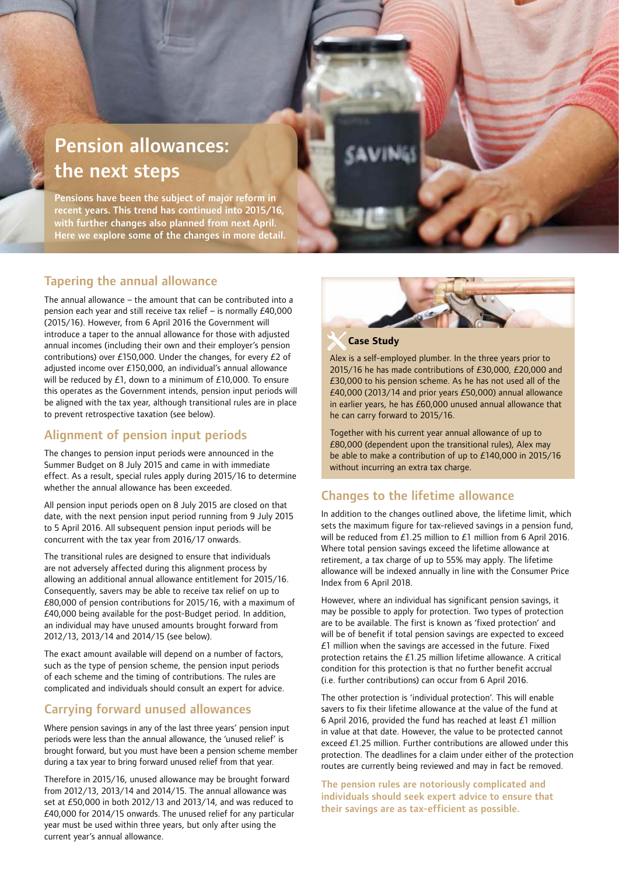## Pension allowances: the next steps

Pensions have been the subject of major reform in recent years. This trend has continued into 2015/16, with further changes also planned from next April. Here we explore some of the changes in more detail.

### Tapering the annual allowance

The annual allowance – the amount that can be contributed into a pension each year and still receive tax relief – is normally £40,000 (2015/16). However, from 6 April 2016 the Government will introduce a taper to the annual allowance for those with adjusted annual incomes (including their own and their employer's pension contributions) over £150,000. Under the changes, for every £2 of adjusted income over £150,000, an individual's annual allowance will be reduced by £1, down to a minimum of £10,000. To ensure this operates as the Government intends, pension input periods will be aligned with the tax year, although transitional rules are in place to prevent retrospective taxation (see below).

## Alignment of pension input periods

The changes to pension input periods were announced in the Summer Budget on 8 July 2015 and came in with immediate effect. As a result, special rules apply during 2015/16 to determine whether the annual allowance has been exceeded.

All pension input periods open on 8 July 2015 are closed on that date, with the next pension input period running from 9 July 2015 to 5 April 2016. All subsequent pension input periods will be concurrent with the tax year from 2016/17 onwards.

The transitional rules are designed to ensure that individuals are not adversely affected during this alignment process by allowing an additional annual allowance entitlement for 2015/16. Consequently, savers may be able to receive tax relief on up to £80,000 of pension contributions for 2015/16, with a maximum of £40,000 being available for the post-Budget period. In addition, an individual may have unused amounts brought forward from 2012/13, 2013/14 and 2014/15 (see below).

The exact amount available will depend on a number of factors, such as the type of pension scheme, the pension input periods of each scheme and the timing of contributions. The rules are complicated and individuals should consult an expert for advice.

### Carrying forward unused allowances

Where pension savings in any of the last three years' pension input periods were less than the annual allowance, the 'unused relief' is brought forward, but you must have been a pension scheme member during a tax year to bring forward unused relief from that year.

Therefore in 2015/16, unused allowance may be brought forward from 2012/13, 2013/14 and 2014/15. The annual allowance was set at £50,000 in both 2012/13 and 2013/14, and was reduced to £40,000 for 2014/15 onwards. The unused relief for any particular year must be used within three years, but only after using the current year's annual allowance.



### **Case Study**

Alex is a self-employed plumber. In the three years prior to 2015/16 he has made contributions of £30,000, £20,000 and £30,000 to his pension scheme. As he has not used all of the £40,000 (2013/14 and prior years £50,000) annual allowance in earlier years, he has £60,000 unused annual allowance that he can carry forward to 2015/16.

Together with his current year annual allowance of up to £80,000 (dependent upon the transitional rules), Alex may be able to make a contribution of up to £140,000 in 2015/16 without incurring an extra tax charge.

### Changes to the lifetime allowance

In addition to the changes outlined above, the lifetime limit, which sets the maximum figure for tax-relieved savings in a pension fund, will be reduced from £1.25 million to £1 million from 6 April 2016. Where total pension savings exceed the lifetime allowance at retirement, a tax charge of up to 55% may apply. The lifetime allowance will be indexed annually in line with the Consumer Price Index from 6 April 2018.

However, where an individual has significant pension savings, it may be possible to apply for protection. Two types of protection are to be available. The first is known as 'fixed protection' and will be of benefit if total pension savings are expected to exceed £1 million when the savings are accessed in the future. Fixed protection retains the £1.25 million lifetime allowance. A critical condition for this protection is that no further benefit accrual (i.e. further contributions) can occur from 6 April 2016.

The other protection is 'individual protection'. This will enable savers to fix their lifetime allowance at the value of the fund at 6 April 2016, provided the fund has reached at least £1 million in value at that date. However, the value to be protected cannot exceed £1.25 million. Further contributions are allowed under this protection. The deadlines for a claim under either of the protection routes are currently being reviewed and may in fact be removed.

The pension rules are notoriously complicated and individuals should seek expert advice to ensure that their savings are as tax-efficient as possible.